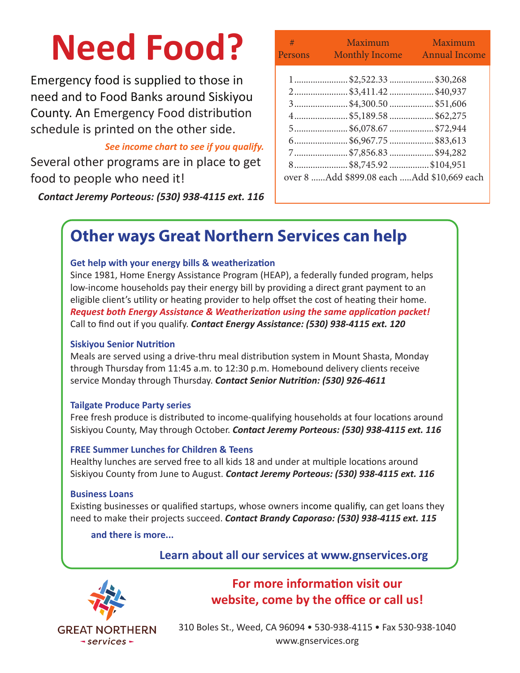# **Need Food?**

Emergency food is supplied to those in need and to Food Banks around Siskiyou County. An Emergency Food distribution schedule is printed on the other side.

#### *See income chart to see if you qualify.*

Several other programs are in place to get food to people who need it!

*Contact Jeremy Porteous: (530) 938-4115 ext. 116*

| $\#$ and the set of $\#$<br>Persons        | Maximum and the state of the state of the state of the state of the state of the state of the state of the state of the state of the state of the state of the state of the state of the state of the state of the state of th<br>Monthly Income Annual Income | Maximum |
|--------------------------------------------|----------------------------------------------------------------------------------------------------------------------------------------------------------------------------------------------------------------------------------------------------------------|---------|
|                                            | 1\$2,522.33\$30,268                                                                                                                                                                                                                                            |         |
|                                            | 2\$3,411.42\$40,937                                                                                                                                                                                                                                            |         |
|                                            | 3\$4,300.50\$51,606                                                                                                                                                                                                                                            |         |
|                                            | 4\$5,189.58\$62,275                                                                                                                                                                                                                                            |         |
|                                            | 5\$6,078.67\$72,944                                                                                                                                                                                                                                            |         |
|                                            | 6\$6,967.75\$83,613                                                                                                                                                                                                                                            |         |
|                                            | 7\$7,856.83\$94,282                                                                                                                                                                                                                                            |         |
|                                            | 8\$8,745.92\$104,951                                                                                                                                                                                                                                           |         |
| over 8 Add \$899.08 each Add \$10,669 each |                                                                                                                                                                                                                                                                |         |

## **Other ways Great Northern Services can help**

#### **Get help with your energy bills & weatherization**

Since 1981, Home Energy Assistance Program (HEAP), a federally funded program, helps low-income households pay their energy bill by providing a direct grant payment to an eligible client's utility or heating provider to help offset the cost of heating their home. *Request both Energy Assistance & Weatherization using the same application packet!* Call to find out if you qualify. *Contact Energy Assistance: (530) 938-4115 ext. 120*

#### **Siskiyou Senior Nutrition**

Meals are served using a drive-thru meal distribution system in Mount Shasta, Monday through Thursday from 11:45 a.m. to 12:30 p.m. Homebound delivery clients receive service Monday through Thursday. *Contact Senior Nutrition: (530) 926-4611*

#### **Tailgate Produce Party series**

Free fresh produce is distributed to income-qualifying households at four locations around Siskiyou County, May through October. *Contact Jeremy Porteous: (530) 938-4115 ext. 116*

#### **FREE Summer Lunches for Children & Teens**

Healthy lunches are served free to all kids 18 and under at multiple locations around Siskiyou County from June to August. *Contact Jeremy Porteous: (530) 938-4115 ext. 116*

#### **Business Loans**

Existing businesses or qualified startups, whose owners income qualifiy, can get loans they need to make their projects succeed. *Contact Brandy Caporaso: (530) 938-4115 ext. 115*

 **and there is more...**

 **Learn about all our services at www.gnservices.org**



## **For more information visit our website, come by the office or call us!**

310 Boles St., Weed, CA 96094 • 530-938-4115 • Fax 530-938-1040 www.gnservices.org